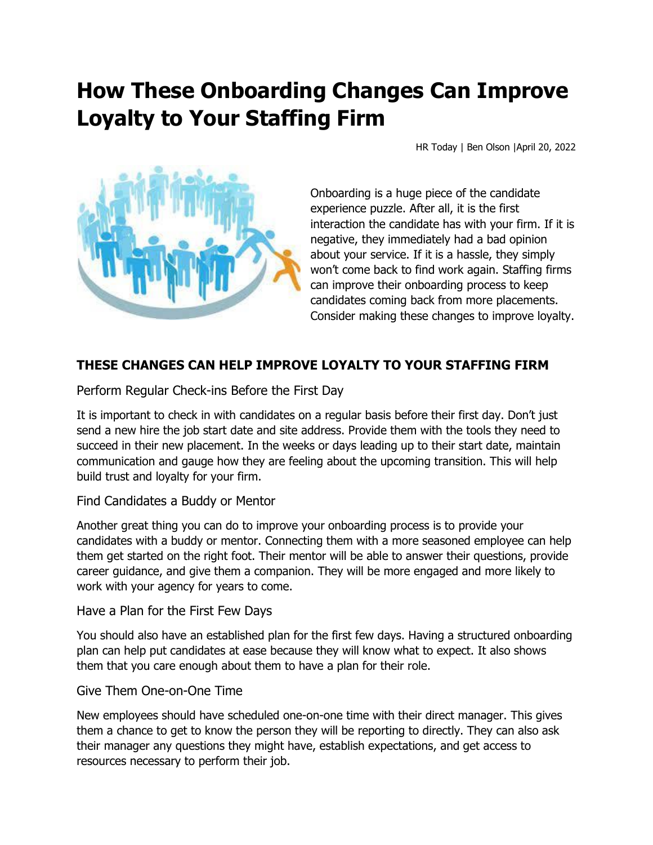# **How These Onboarding Changes Can Improve Loyalty to Your Staffing Firm**

HR Today | Ben Olson |April 20, 2022



Onboarding is a huge piece of the candidate experience puzzle. After all, it is the first interaction the candidate has with your firm. If it is negative, they immediately had a bad opinion about your service. If it is a hassle, they simply won't come back to find work again. Staffing firms can improve their onboarding process to keep candidates coming back from more placements. Consider making these changes to improve loyalty.

## **THESE CHANGES CAN HELP IMPROVE LOYALTY TO YOUR STAFFING FIRM**

Perform Regular Check-ins Before the First Day

It is important to check in with candidates on a regular basis before their first day. Don't just send a new hire the job start date and site address. Provide them with the tools they need to succeed in their new placement. In the weeks or days leading up to their start date, maintain communication and gauge how they are feeling about the upcoming transition. This will help build trust and loyalty for your firm.

Find Candidates a Buddy or Mentor

Another great thing you can do to improve your onboarding process is to provide your candidates with a buddy or mentor. Connecting them with a more seasoned employee can help them get started on the right foot. Their mentor will be able to answer their questions, provide career guidance, and give them a companion. They will be more engaged and more likely to work with your agency for years to come.

Have a Plan for the First Few Days

You should also have an established plan for the first few days. Having a structured onboarding plan can help put candidates at ease because they will know what to expect. It also shows them that you care enough about them to have a plan for their role.

#### Give Them One-on-One Time

New employees should have scheduled one-on-one time with their direct manager. This gives them a chance to get to know the person they will be reporting to directly. They can also ask their manager any questions they might have, establish expectations, and get access to resources necessary to perform their job.